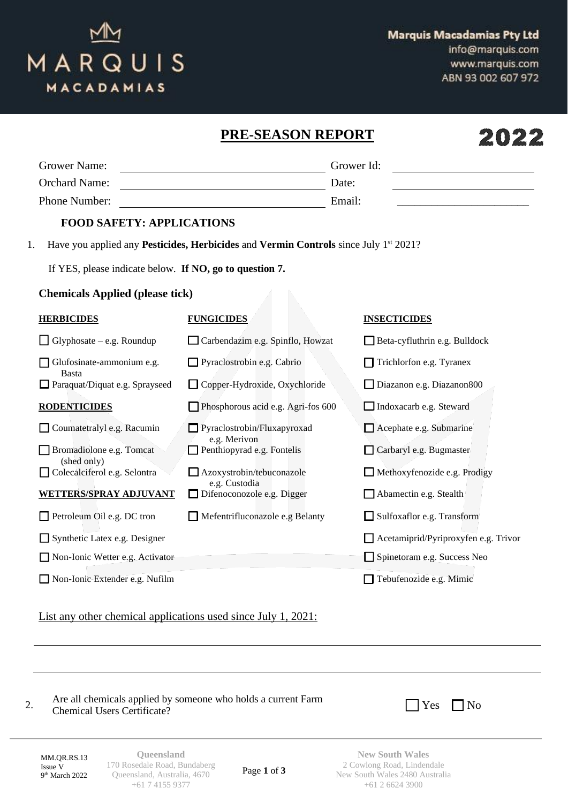## MARQUIS MACADAMIAS

info@marquis.com www.marquis.com ABN 93 002 607 972

|                                                         | PRE-SEASON REPORT                                                                                       |                                      |
|---------------------------------------------------------|---------------------------------------------------------------------------------------------------------|--------------------------------------|
| <b>Grower Name:</b>                                     |                                                                                                         | Grower Id:                           |
| <b>Orchard Name:</b>                                    |                                                                                                         | Date:                                |
| Phone Number:                                           |                                                                                                         | Email:                               |
| <b>FOOD SAFETY: APPLICATIONS</b>                        |                                                                                                         |                                      |
| 1.                                                      | Have you applied any <b>Pesticides, Herbicides</b> and <b>Vermin Controls</b> since July $1^{st}$ 2021? |                                      |
| If YES, please indicate below. If NO, go to question 7. |                                                                                                         |                                      |
| <b>Chemicals Applied (please tick)</b>                  |                                                                                                         |                                      |
| <b>HERBICIDES</b>                                       | <b>FUNGICIDES</b>                                                                                       | <b>INSECTICIDES</b>                  |
| $\Box$ Glyphosate – e.g. Roundup                        | Carbendazim e.g. Spinflo, Howzat                                                                        | Beta-cyfluthrin e.g. Bulldock        |
| Glufosinate-ammonium e.g.                               | Pyraclostrobin e.g. Cabrio                                                                              | Trichlorfon e.g. Tyranex             |
| <b>Basta</b><br>Paraquat/Diquat e.g. Sprayseed          | Copper-Hydroxide, Oxychloride                                                                           | Diazanon e.g. Diazanon800            |
| <b>RODENTICIDES</b>                                     | Phosphorous acid e.g. Agri-fos 600                                                                      | $\Box$ Indoxacarb e.g. Steward       |
| Coumatetralyl e.g. Racumin                              | Pyraclostrobin/Fluxapyroxad                                                                             | Acephate e.g. Submarine              |
| Bromadiolone e.g. Tomcat                                | e.g. Merivon<br>$\Box$ Penthiopyrad e.g. Fontelis                                                       | Carbaryl e.g. Bugmaster              |
| (shed only)<br>Colecalciferol e.g. Selontra             | Azoxystrobin/tebuconazole                                                                               | $\Box$ Methoxyfenozide e.g. Prodigy  |
| WETTERS/SPRAY ADJUVANT                                  | e.g. Custodia<br>$\Box$ Difenoconozole e.g. Digger                                                      | Abamectin e.g. Stealth               |
| Petroleum Oil e.g. DC tron                              | $\Box$ Mefentrifluconazole e.g Belanty                                                                  | Sulfoxaflor e.g. Transform           |
| $\Box$ Synthetic Latex e.g. Designer                    |                                                                                                         | Acetamiprid/Pyriproxyfen e.g. Trivor |
| Non-Ionic Wetter e.g. Activator                         |                                                                                                         | Spinetoram e.g. Success Neo          |
| Non-Ionic Extender e.g. Nufilm                          |                                                                                                         | Tebufenozide e.g. Mimic              |

List any other chemical applications used since July 1, 2021:

2. Are all chemicals applied by someone who holds a current Farm  $\Box$  Yes  $\Box$  No

MM.QR.RS.13 Issue V 9<sup>th</sup> March 2022

**Queensland** 170 Rosedale Road, Bundaberg Queensland, Australia, 4670 +61 7 4155 9377

Page **1** of **3**

**New South Wales** 2 Cowlong Road, Lindendale New South Wales 2480 Australia +61 2 6624 3900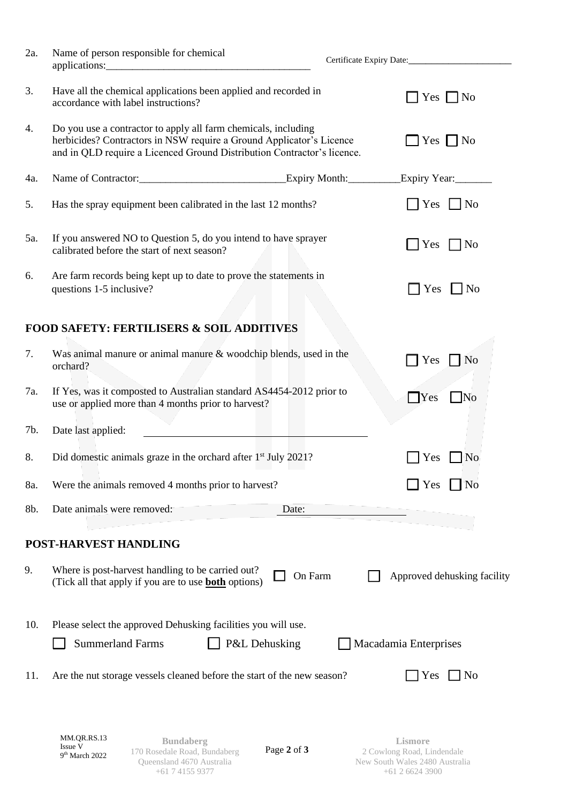| 2a. | Name of person responsible for chemical<br>applications:                                                                                                                                                          |                                        |
|-----|-------------------------------------------------------------------------------------------------------------------------------------------------------------------------------------------------------------------|----------------------------------------|
|     |                                                                                                                                                                                                                   |                                        |
| 3.  | Have all the chemical applications been applied and recorded in<br>accordance with label instructions?                                                                                                            | Yes $\Box$ No                          |
| 4.  | Do you use a contractor to apply all farm chemicals, including<br>herbicides? Contractors in NSW require a Ground Applicator's Licence<br>and in QLD require a Licenced Ground Distribution Contractor's licence. | Yes $\Box$ No                          |
| 4a. | Name of Contractor: Expiry Month:                                                                                                                                                                                 | Expiry Year:                           |
| 5.  | Has the spray equipment been calibrated in the last 12 months?                                                                                                                                                    | $ Yes $   No                           |
| 5a. | If you answered NO to Question 5, do you intend to have sprayer<br>calibrated before the start of next season?                                                                                                    | Yes<br>N <sub>0</sub>                  |
| 6.  | Are farm records being kept up to date to prove the statements in<br>questions 1-5 inclusive?                                                                                                                     | $\Box$ Yes<br>$\Box$ No                |
|     | <b>FOOD SAFETY: FERTILISERS &amp; SOIL ADDITIVES</b>                                                                                                                                                              |                                        |
| 7.  | Was animal manure or animal manure $&$ woodchip blends, used in the<br>orchard?                                                                                                                                   | Yes<br>N <sub>o</sub>                  |
| 7a. | If Yes, was it composted to Australian standard AS4454-2012 prior to<br>use or applied more than 4 months prior to harvest?                                                                                       | $\bigcap$ Yes<br>$\Box$ No             |
| 7b. | Date last applied:                                                                                                                                                                                                |                                        |
| 8.  | Did domestic animals graze in the orchard after 1 <sup>st</sup> July 2021?                                                                                                                                        | N <sub>0</sub><br>Yes                  |
| 8a. | Were the animals removed 4 months prior to harvest?                                                                                                                                                               | Yes<br>N <sub>0</sub>                  |
| 8b. | Date animals were removed:<br>Date:                                                                                                                                                                               |                                        |
|     | POST-HARVEST HANDLING                                                                                                                                                                                             |                                        |
| 9.  | Where is post-harvest handling to be carried out?<br>(Tick all that apply if you are to use <b>both</b> options)                                                                                                  | On Farm<br>Approved dehusking facility |
| 10. | Please select the approved Dehusking facilities you will use.<br>P&L Dehusking<br><b>Summerland Farms</b>                                                                                                         | Macadamia Enterprises                  |
| 11. | Are the nut storage vessels cleaned before the start of the new season?                                                                                                                                           | N <sub>0</sub><br>Yes                  |
|     |                                                                                                                                                                                                                   |                                        |
|     |                                                                                                                                                                                                                   |                                        |

Page **2** of **3**

**Lismore** 2 Cowlong Road, Lindendale New South Wales 2480 Australia +61 2 6624 3900

**Bundaberg** 170 Rosedale Road, Bundaberg Queensland 4670 Australia +61 7 4155 9377

MM.QR.RS.13 Issue V 9<sup>th</sup> March 2022